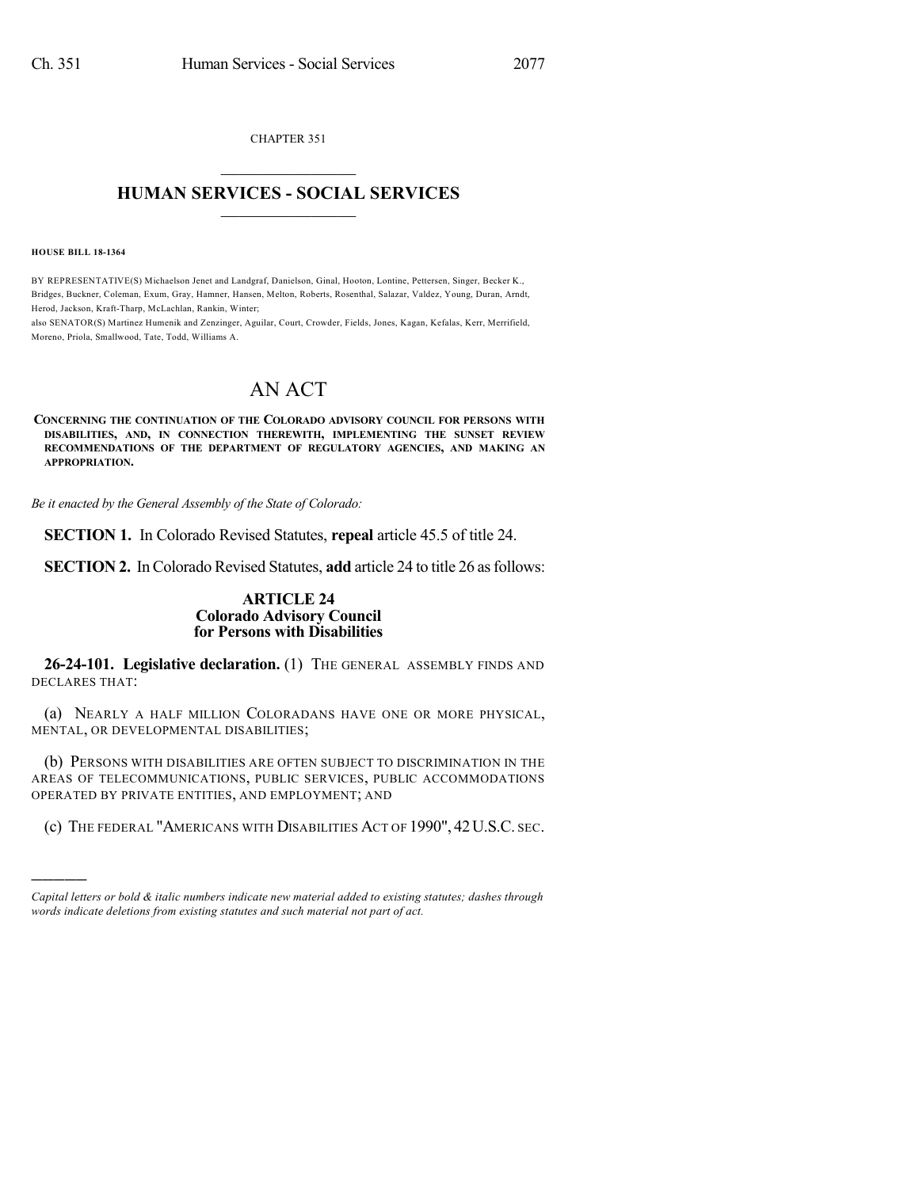CHAPTER 351  $\mathcal{L}_\text{max}$  . The set of the set of the set of the set of the set of the set of the set of the set of the set of the set of the set of the set of the set of the set of the set of the set of the set of the set of the set

## **HUMAN SERVICES - SOCIAL SERVICES**  $\frac{1}{2}$  ,  $\frac{1}{2}$  ,  $\frac{1}{2}$  ,  $\frac{1}{2}$  ,  $\frac{1}{2}$  ,  $\frac{1}{2}$

**HOUSE BILL 18-1364**

)))))

BY REPRESENTATIVE(S) Michaelson Jenet and Landgraf, Danielson, Ginal, Hooton, Lontine, Pettersen, Singer, Becker K., Bridges, Buckner, Coleman, Exum, Gray, Hamner, Hansen, Melton, Roberts, Rosenthal, Salazar, Valdez, Young, Duran, Arndt, Herod, Jackson, Kraft-Tharp, McLachlan, Rankin, Winter;

also SENATOR(S) Martinez Humenik and Zenzinger, Aguilar, Court, Crowder, Fields, Jones, Kagan, Kefalas, Kerr, Merrifield, Moreno, Priola, Smallwood, Tate, Todd, Williams A.

# AN ACT

**CONCERNING THE CONTINUATION OF THE COLORADO ADVISORY COUNCIL FOR PERSONS WITH DISABILITIES, AND, IN CONNECTION THEREWITH, IMPLEMENTING THE SUNSET REVIEW RECOMMENDATIONS OF THE DEPARTMENT OF REGULATORY AGENCIES, AND MAKING AN APPROPRIATION.**

*Be it enacted by the General Assembly of the State of Colorado:*

**SECTION 1.** In Colorado Revised Statutes, **repeal** article 45.5 of title 24.

**SECTION 2.** In Colorado Revised Statutes, add article 24 to title 26 as follows:

### **ARTICLE 24 Colorado Advisory Council for Persons with Disabilities**

**26-24-101. Legislative declaration.** (1) THE GENERAL ASSEMBLY FINDS AND DECLARES THAT:

(a) NEARLY A HALF MILLION COLORADANS HAVE ONE OR MORE PHYSICAL, MENTAL, OR DEVELOPMENTAL DISABILITIES;

(b) PERSONS WITH DISABILITIES ARE OFTEN SUBJECT TO DISCRIMINATION IN THE AREAS OF TELECOMMUNICATIONS, PUBLIC SERVICES, PUBLIC ACCOMMODATIONS OPERATED BY PRIVATE ENTITIES, AND EMPLOYMENT; AND

(c) THE FEDERAL "AMERICANS WITH DISABILITIES ACT OF 1990", 42U.S.C. SEC.

*Capital letters or bold & italic numbers indicate new material added to existing statutes; dashes through words indicate deletions from existing statutes and such material not part of act.*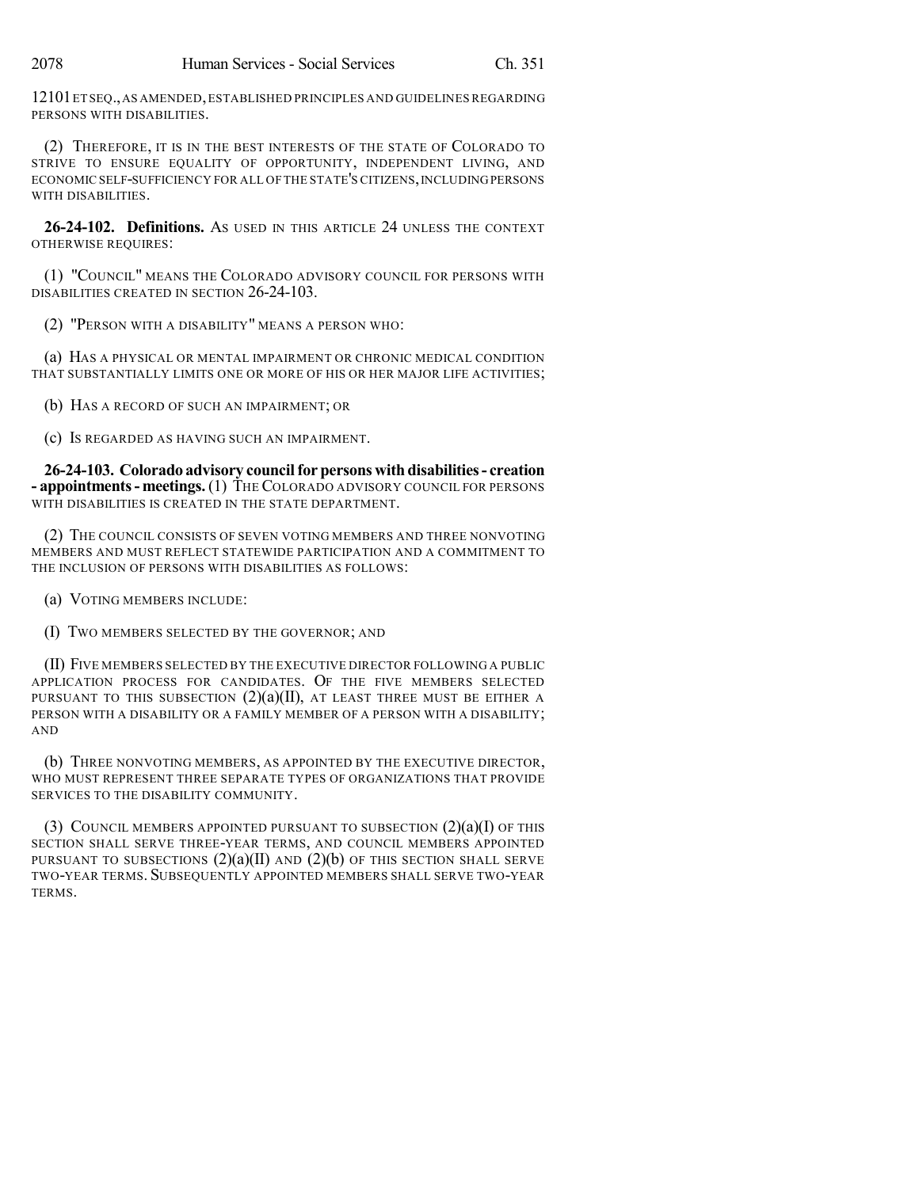12101ET SEQ.,AS AMENDED,ESTABLISHED PRINCIPLES AND GUIDELINES REGARDING PERSONS WITH DISABILITIES.

(2) THEREFORE, IT IS IN THE BEST INTERESTS OF THE STATE OF COLORADO TO STRIVE TO ENSURE EQUALITY OF OPPORTUNITY, INDEPENDENT LIVING, AND ECONOMIC SELF-SUFFICIENCY FOR ALL OF THE STATE'S CITIZENS,INCLUDINGPERSONS WITH DISABILITIES.

**26-24-102. Definitions.** AS USED IN THIS ARTICLE 24 UNLESS THE CONTEXT OTHERWISE REQUIRES:

(1) "COUNCIL" MEANS THE COLORADO ADVISORY COUNCIL FOR PERSONS WITH DISABILITIES CREATED IN SECTION 26-24-103.

(2) "PERSON WITH A DISABILITY" MEANS A PERSON WHO:

(a) HAS A PHYSICAL OR MENTAL IMPAIRMENT OR CHRONIC MEDICAL CONDITION THAT SUBSTANTIALLY LIMITS ONE OR MORE OF HIS OR HER MAJOR LIFE ACTIVITIES;

(b) HAS A RECORD OF SUCH AN IMPAIRMENT; OR

(c) IS REGARDED AS HAVING SUCH AN IMPAIRMENT.

**26-24-103. Colorado advisory councilfor persons with disabilities- creation - appointments- meetings.**(1) THE COLORADO ADVISORY COUNCIL FOR PERSONS WITH DISABILITIES IS CREATED IN THE STATE DEPARTMENT.

(2) THE COUNCIL CONSISTS OF SEVEN VOTING MEMBERS AND THREE NONVOTING MEMBERS AND MUST REFLECT STATEWIDE PARTICIPATION AND A COMMITMENT TO THE INCLUSION OF PERSONS WITH DISABILITIES AS FOLLOWS:

(a) VOTING MEMBERS INCLUDE:

(I) TWO MEMBERS SELECTED BY THE GOVERNOR; AND

(II) FIVE MEMBERS SELECTED BY THE EXECUTIVE DIRECTOR FOLLOWING A PUBLIC APPLICATION PROCESS FOR CANDIDATES. OF THE FIVE MEMBERS SELECTED PURSUANT TO THIS SUBSECTION  $(2)(a)(II)$ , AT LEAST THREE MUST BE EITHER A PERSON WITH A DISABILITY OR A FAMILY MEMBER OF A PERSON WITH A DISABILITY; AND

(b) THREE NONVOTING MEMBERS, AS APPOINTED BY THE EXECUTIVE DIRECTOR, WHO MUST REPRESENT THREE SEPARATE TYPES OF ORGANIZATIONS THAT PROVIDE SERVICES TO THE DISABILITY COMMUNITY.

(3) COUNCIL MEMBERS APPOINTED PURSUANT TO SUBSECTION  $(2)(a)(I)$  of this SECTION SHALL SERVE THREE-YEAR TERMS, AND COUNCIL MEMBERS APPOINTED PURSUANT TO SUBSECTIONS  $(2)(a)(II)$  and  $(2)(b)$  of this section shall serve TWO-YEAR TERMS. SUBSEQUENTLY APPOINTED MEMBERS SHALL SERVE TWO-YEAR TERMS.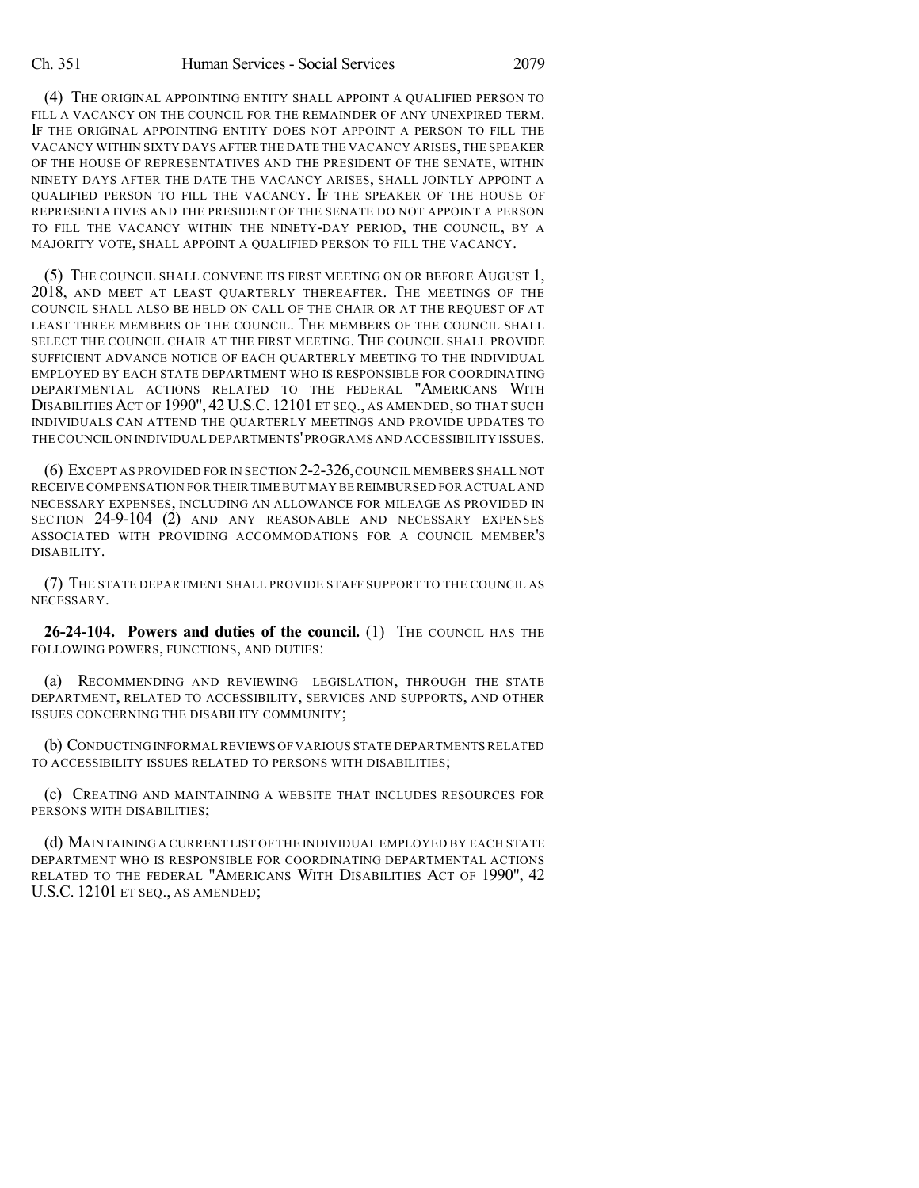(4) THE ORIGINAL APPOINTING ENTITY SHALL APPOINT A QUALIFIED PERSON TO FILL A VACANCY ON THE COUNCIL FOR THE REMAINDER OF ANY UNEXPIRED TERM. IF THE ORIGINAL APPOINTING ENTITY DOES NOT APPOINT A PERSON TO FILL THE VACANCY WITHIN SIXTY DAYS AFTER THE DATE THE VACANCY ARISES,THE SPEAKER OF THE HOUSE OF REPRESENTATIVES AND THE PRESIDENT OF THE SENATE, WITHIN NINETY DAYS AFTER THE DATE THE VACANCY ARISES, SHALL JOINTLY APPOINT A QUALIFIED PERSON TO FILL THE VACANCY. IF THE SPEAKER OF THE HOUSE OF REPRESENTATIVES AND THE PRESIDENT OF THE SENATE DO NOT APPOINT A PERSON TO FILL THE VACANCY WITHIN THE NINETY-DAY PERIOD, THE COUNCIL, BY A MAJORITY VOTE, SHALL APPOINT A QUALIFIED PERSON TO FILL THE VACANCY.

(5) THE COUNCIL SHALL CONVENE ITS FIRST MEETING ON OR BEFORE AUGUST 1, 2018, AND MEET AT LEAST QUARTERLY THEREAFTER. THE MEETINGS OF THE COUNCIL SHALL ALSO BE HELD ON CALL OF THE CHAIR OR AT THE REQUEST OF AT LEAST THREE MEMBERS OF THE COUNCIL. THE MEMBERS OF THE COUNCIL SHALL SELECT THE COUNCIL CHAIR AT THE FIRST MEETING. THE COUNCIL SHALL PROVIDE SUFFICIENT ADVANCE NOTICE OF EACH QUARTERLY MEETING TO THE INDIVIDUAL EMPLOYED BY EACH STATE DEPARTMENT WHO IS RESPONSIBLE FOR COORDINATING DEPARTMENTAL ACTIONS RELATED TO THE FEDERAL "AMERICANS WITH DISABILITIES ACT OF 1990", 42 U.S.C. 12101 ET SEQ., AS AMENDED, SO THAT SUCH INDIVIDUALS CAN ATTEND THE QUARTERLY MEETINGS AND PROVIDE UPDATES TO THE COUNCIL ON INDIVIDUAL DEPARTMENTS'PROGRAMS AND ACCESSIBILITY ISSUES.

(6) EXCEPT AS PROVIDED FOR IN SECTION 2-2-326,COUNCIL MEMBERS SHALL NOT RECEIVE COMPENSATION FOR THEIR TIMEBUT MAY BE REIMBURSED FOR ACTUAL AND NECESSARY EXPENSES, INCLUDING AN ALLOWANCE FOR MILEAGE AS PROVIDED IN SECTION 24-9-104 (2) AND ANY REASONABLE AND NECESSARY EXPENSES ASSOCIATED WITH PROVIDING ACCOMMODATIONS FOR A COUNCIL MEMBER'S DISABILITY.

(7) THE STATE DEPARTMENT SHALL PROVIDE STAFF SUPPORT TO THE COUNCIL AS NECESSARY.

**26-24-104. Powers and duties of the council.** (1) THE COUNCIL HAS THE FOLLOWING POWERS, FUNCTIONS, AND DUTIES:

(a) RECOMMENDING AND REVIEWING LEGISLATION, THROUGH THE STATE DEPARTMENT, RELATED TO ACCESSIBILITY, SERVICES AND SUPPORTS, AND OTHER ISSUES CONCERNING THE DISABILITY COMMUNITY;

(b) CONDUCTING INFORMALREVIEWS OF VARIOUS STATE DEPARTMENTS RELATED TO ACCESSIBILITY ISSUES RELATED TO PERSONS WITH DISABILITIES;

(c) CREATING AND MAINTAINING A WEBSITE THAT INCLUDES RESOURCES FOR PERSONS WITH DISABILITIES;

(d) MAINTAINING A CURRENT LIST OF THE INDIVIDUAL EMPLOYED BY EACH STATE DEPARTMENT WHO IS RESPONSIBLE FOR COORDINATING DEPARTMENTAL ACTIONS RELATED TO THE FEDERAL "AMERICANS WITH DISABILITIES ACT OF 1990", 42 U.S.C. 12101 ET SEQ., AS AMENDED;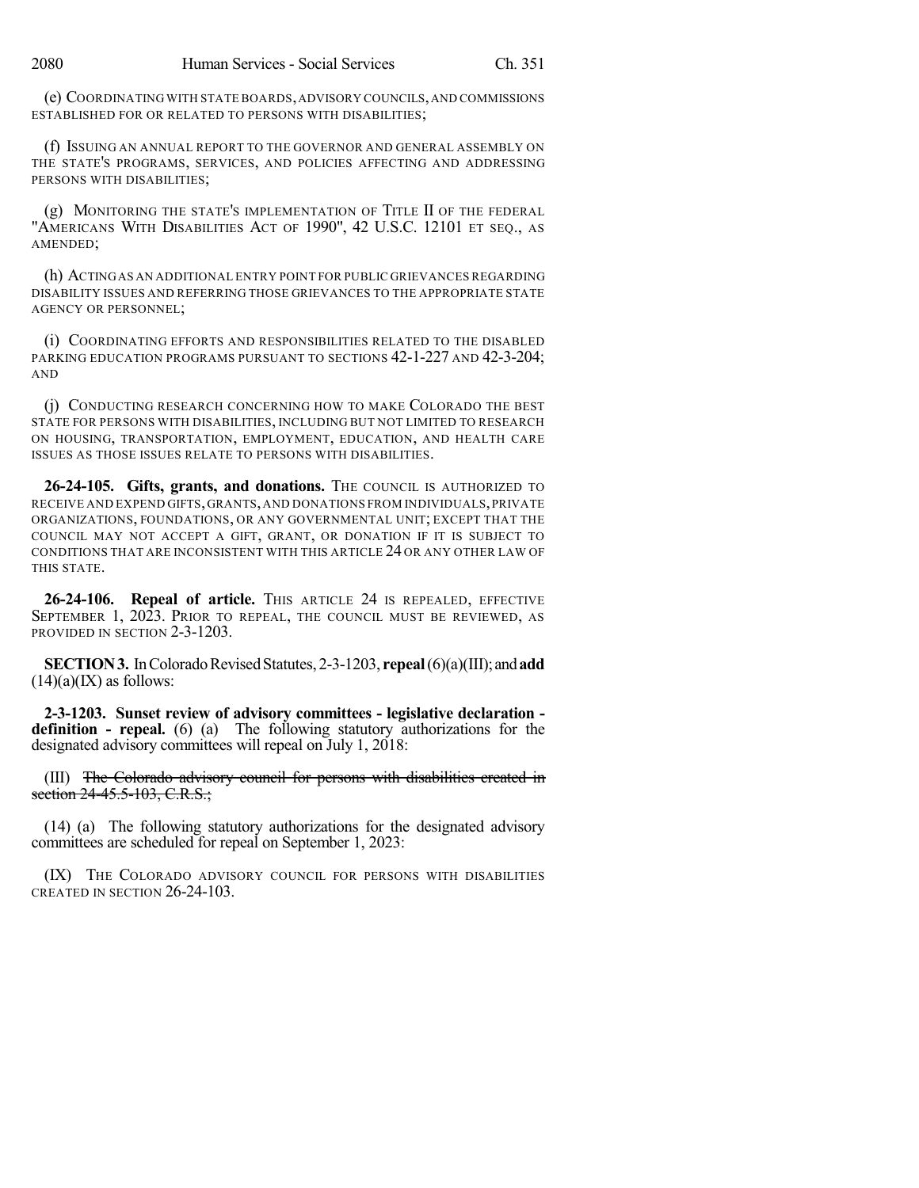(e) COORDINATING WITH STATE BOARDS,ADVISORY COUNCILS,AND COMMISSIONS ESTABLISHED FOR OR RELATED TO PERSONS WITH DISABILITIES;

(f) ISSUING AN ANNUAL REPORT TO THE GOVERNOR AND GENERAL ASSEMBLY ON THE STATE'S PROGRAMS, SERVICES, AND POLICIES AFFECTING AND ADDRESSING PERSONS WITH DISABILITIES;

(g) MONITORING THE STATE'S IMPLEMENTATION OF TITLE II OF THE FEDERAL "AMERICANS WITH DISABILITIES ACT OF 1990", 42 U.S.C. 12101 ET SEQ., AS AMENDED;

(h) ACTINGAS AN ADDITIONAL ENTRY POINT FOR PUBLIC GRIEVANCES REGARDING DISABILITY ISSUES AND REFERRING THOSE GRIEVANCES TO THE APPROPRIATE STATE AGENCY OR PERSONNEL;

(i) COORDINATING EFFORTS AND RESPONSIBILITIES RELATED TO THE DISABLED PARKING EDUCATION PROGRAMS PURSUANT TO SECTIONS 42-1-227 AND 42-3-204; AND

(j) CONDUCTING RESEARCH CONCERNING HOW TO MAKE COLORADO THE BEST STATE FOR PERSONS WITH DISABILITIES, INCLUDING BUT NOT LIMITED TO RESEARCH ON HOUSING, TRANSPORTATION, EMPLOYMENT, EDUCATION, AND HEALTH CARE ISSUES AS THOSE ISSUES RELATE TO PERSONS WITH DISABILITIES.

**26-24-105. Gifts, grants, and donations.** THE COUNCIL IS AUTHORIZED TO RECEIVE AND EXPEND GIFTS,GRANTS,AND DONATIONS FROM INDIVIDUALS,PRIVATE ORGANIZATIONS, FOUNDATIONS, OR ANY GOVERNMENTAL UNIT; EXCEPT THAT THE COUNCIL MAY NOT ACCEPT A GIFT, GRANT, OR DONATION IF IT IS SUBJECT TO CONDITIONS THAT ARE INCONSISTENT WITH THIS ARTICLE 24 OR ANY OTHER LAW OF THIS STATE.

**26-24-106. Repeal of article.** THIS ARTICLE 24 IS REPEALED, EFFECTIVE SEPTEMBER 1, 2023. PRIOR TO REPEAL, THE COUNCIL MUST BE REVIEWED, AS PROVIDED IN SECTION 2-3-1203.

**SECTION 3.** In Colorado Revised Statutes, 2-3-1203, **repeal** (6)(a)(III); and **add**  $(14)(a)(IX)$  as follows:

**2-3-1203. Sunset review of advisory committees - legislative declaration definition - repeal.** (6) (a) The following statutory authorizations for the designated advisory committees will repeal on July 1, 2018:

(III) The Colorado advisory council for persons with disabilities created in section 24-45.5-103, C.R.S.;

(14) (a) The following statutory authorizations for the designated advisory committees are scheduled for repeal on September 1, 2023:

(IX) THE COLORADO ADVISORY COUNCIL FOR PERSONS WITH DISABILITIES CREATED IN SECTION 26-24-103.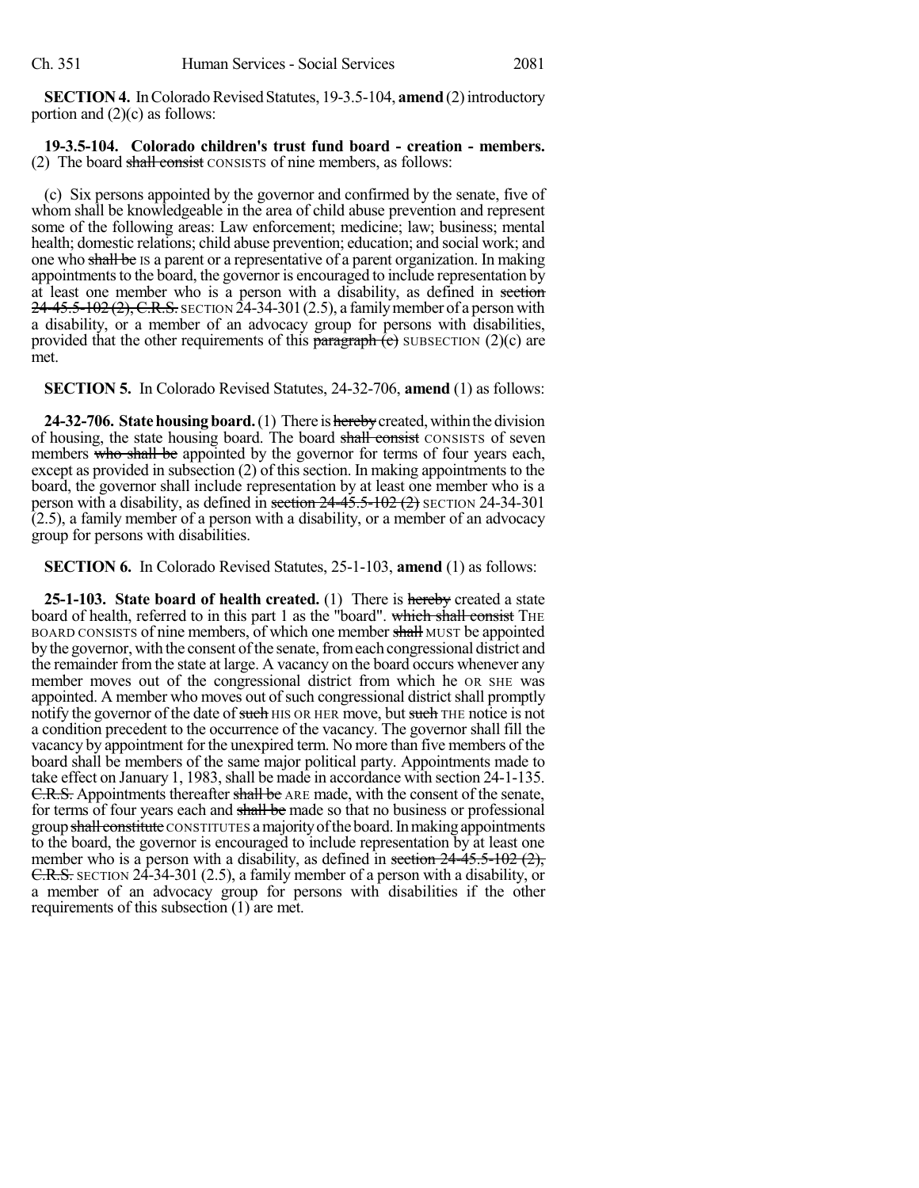**SECTION 4.** In Colorado Revised Statutes, 19-3.5-104, **amend** (2) introductory portion and (2)(c) as follows:

#### **19-3.5-104. Colorado children's trust fund board - creation - members.** (2) The board shall consist CONSISTS of nine members, as follows:

(c) Six persons appointed by the governor and confirmed by the senate, five of whom shall be knowledgeable in the area of child abuse prevention and represent some of the following areas: Law enforcement; medicine; law; business; mental health; domestic relations; child abuse prevention; education; and social work; and one who shall be IS a parent or a representative of a parent organization. In making appointments to the board, the governor is encouraged to include representation by at least one member who is a person with a disability, as defined in section  $24-45.5-102(2)$ , C.R.S. SECTION 24-34-301 (2.5), a family member of a person with a disability, or a member of an advocacy group for persons with disabilities, provided that the other requirements of this paragraph  $\overline{(c)}$  SUBSECTION (2)(c) are met.

**SECTION 5.** In Colorado Revised Statutes, 24-32-706, **amend** (1) as follows:

**24-32-706. State housing board.** (1) There is hereby created, within the division of housing, the state housing board. The board shall consist CONSISTS of seven members who shall be appointed by the governor for terms of four years each, except as provided in subsection  $(2)$  of this section. In making appointments to the board, the governor shall include representation by at least one member who is a person with a disability, as defined in section  $24-45.5-102(2)$  SECTION 24-34-301  $(2.5)$ , a family member of a person with a disability, or a member of an advocacy group for persons with disabilities.

**SECTION 6.** In Colorado Revised Statutes, 25-1-103, **amend** (1) as follows:

**25-1-103. State board of health created.** (1) There is hereby created a state board of health, referred to in this part 1 as the "board". which shall consist THE BOARD CONSISTS of nine members, of which one member shall MUST be appointed by the governor, with the consent of the senate, from each congressional district and the remainder from the state at large. A vacancy on the board occurs whenever any member moves out of the congressional district from which he OR SHE was appointed. A member who moves out of such congressional district shall promptly notify the governor of the date of such HIS OR HER move, but such THE notice is not a condition precedent to the occurrence of the vacancy. The governor shall fill the vacancy by appointment for the unexpired term. No more than five members of the board shall be members of the same major political party. Appointments made to take effect on January 1, 1983, shall be made in accordance with section 24-1-135. C.R.S. Appointments thereafter shall be ARE made, with the consent of the senate, for terms of four years each and shall be made so that no business or professional group shall constitute CONSTITUTES a majority of the board. In making appointments to the board, the governor is encouraged to include representation by at least one member who is a person with a disability, as defined in section 24-45.5-102 (2), C.R.S. SECTION 24-34-301 (2.5), a family member of a person with a disability, or a member of an advocacy group for persons with disabilities if the other requirements of this subsection (1) are met.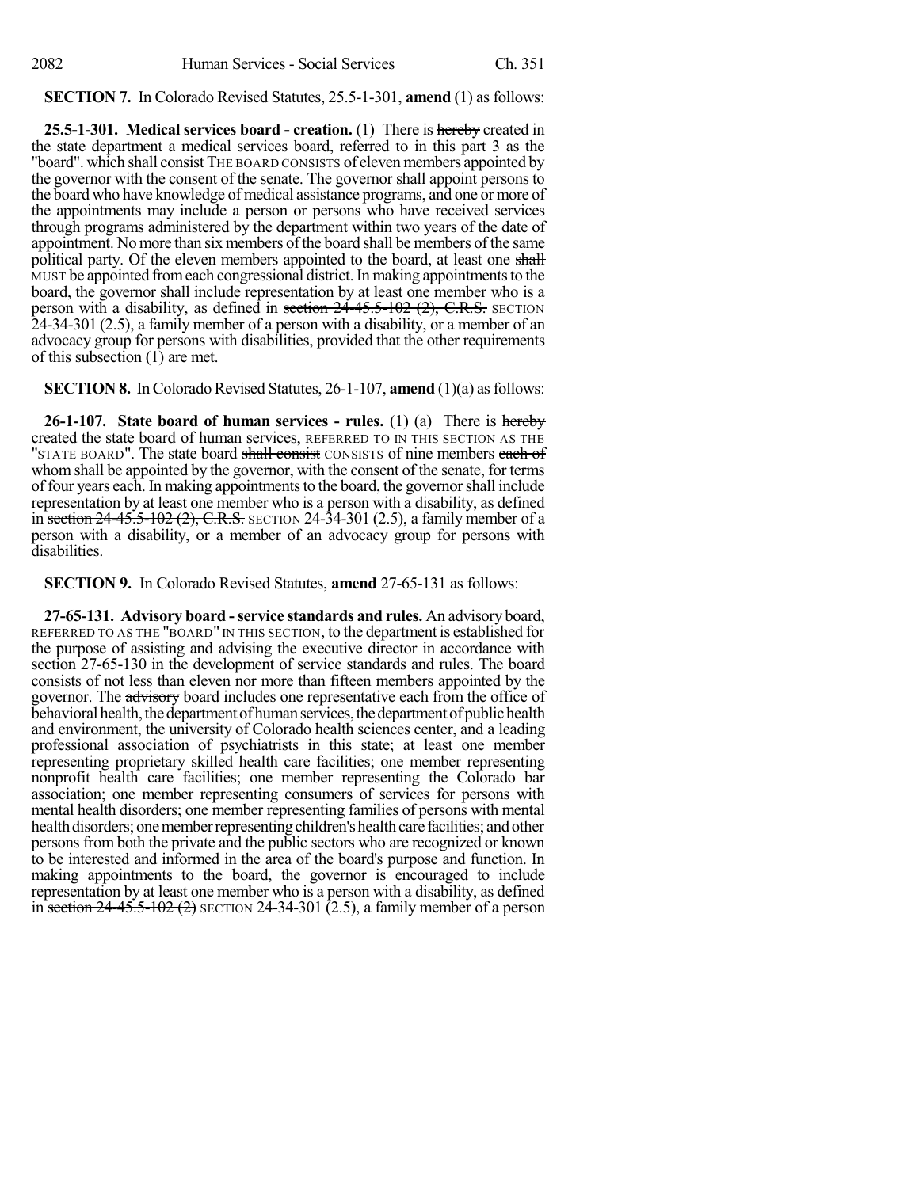#### **SECTION 7.** In Colorado Revised Statutes, 25.5-1-301, **amend** (1) as follows:

**25.5-1-301. Medical services board - creation.** (1) There is hereby created in the state department a medical services board, referred to in this part 3 as the "board". which shall consist THE BOARD CONSISTS of eleven members appointed by the governor with the consent of the senate. The governor shall appoint persons to the board who have knowledge of medical assistance programs, and one or more of the appointments may include a person or persons who have received services through programs administered by the department within two years of the date of appointment. No more than six members of the board shall be members of the same political party. Of the eleven members appointed to the board, at least one shall MUST be appointed fromeach congressional district.In making appointmentsto the board, the governor shall include representation by at least one member who is a person with a disability, as defined in section 24-45.5-102 (2), C.R.S. SECTION 24-34-301 (2.5), a family member of a person with a disability, or a member of an advocacy group for persons with disabilities, provided that the other requirements of this subsection (1) are met.

**SECTION 8.** In Colorado Revised Statutes, 26-1-107, **amend** (1)(a) as follows:

**26-1-107. State board of human services - rules.** (1) (a) There is hereby created the state board of human services, REFERRED TO IN THIS SECTION AS THE "STATE BOARD". The state board shall consist CONSISTS of nine members each of whom shall be appointed by the governor, with the consent of the senate, for terms of four years each. In making appointments to the board, the governor shall include representation by at least one member who is a person with a disability, as defined in section  $24-45.5-102$  (2), C.R.S. SECTION 24-34-301 (2.5), a family member of a person with a disability, or a member of an advocacy group for persons with disabilities.

**SECTION 9.** In Colorado Revised Statutes, **amend** 27-65-131 as follows:

**27-65-131. Advisory board -service standards and rules.** An advisory board, REFERRED TO AS THE "BOARD" IN THIS SECTION, to the department is established for the purpose of assisting and advising the executive director in accordance with section 27-65-130 in the development of service standards and rules. The board consists of not less than eleven nor more than fifteen members appointed by the governor. The advisory board includes one representative each from the office of behavioral health, the department of human services, the department of public health and environment, the university of Colorado health sciences center, and a leading professional association of psychiatrists in this state; at least one member representing proprietary skilled health care facilities; one member representing nonprofit health care facilities; one member representing the Colorado bar association; one member representing consumers of services for persons with mental health disorders; one member representing families of persons with mental health disorders; one member representing children's health care facilities; and other persons from both the private and the public sectors who are recognized or known to be interested and informed in the area of the board's purpose and function. In making appointments to the board, the governor is encouraged to include representation by at least one member who is a person with a disability, as defined in section  $24-45.5-102$  (2) SECTION 24-34-301 (2.5), a family member of a person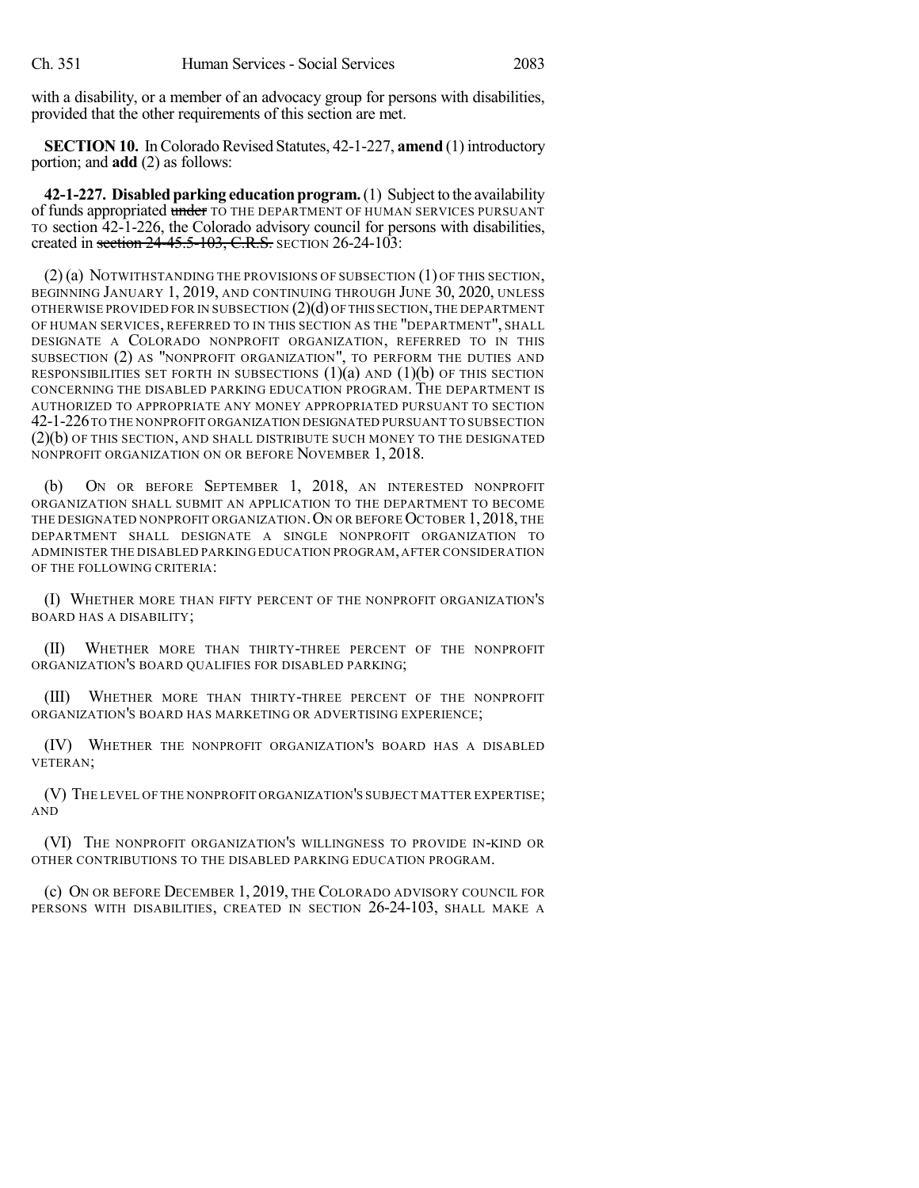with a disability, or a member of an advocacy group for persons with disabilities, provided that the other requirements of this section are met.

**SECTION 10.** In Colorado Revised Statutes, 42-1-227, **amend** (1) introductory portion; and **add** (2) as follows:

**42-1-227. Disabled parking education program.** (1) Subject to the availability of funds appropriated under TO THE DEPARTMENT OF HUMAN SERVICES PURSUANT TO section 42-1-226, the Colorado advisory council for persons with disabilities, created in section  $24-45.5-103$ , C.R.S. SECTION 26-24-103:

 $(2)$  (a) NOTWITHSTANDING THE PROVISIONS OF SUBSECTION  $(1)$  OF THIS SECTION, BEGINNING JANUARY 1, 2019, AND CONTINUING THROUGH JUNE 30, 2020, UNLESS OTHERWISE PROVIDED FOR IN SUBSECTION  $(2)(d)$  OF THIS SECTION, THE DEPARTMENT OF HUMAN SERVICES, REFERRED TO IN THIS SECTION AS THE "DEPARTMENT", SHALL DESIGNATE A COLORADO NONPROFIT ORGANIZATION, REFERRED TO IN THIS SUBSECTION (2) AS "NONPROFIT ORGANIZATION", TO PERFORM THE DUTIES AND RESPONSIBILITIES SET FORTH IN SUBSECTIONS  $(1)(a)$  and  $(1)(b)$  of this section CONCERNING THE DISABLED PARKING EDUCATION PROGRAM. THE DEPARTMENT IS AUTHORIZED TO APPROPRIATE ANY MONEY APPROPRIATED PURSUANT TO SECTION 42-1-226TO THE NONPROFIT ORGANIZATION DESIGNATED PURSUANT TO SUBSECTION (2)(b) OF THIS SECTION, AND SHALL DISTRIBUTE SUCH MONEY TO THE DESIGNATED NONPROFIT ORGANIZATION ON OR BEFORE NOVEMBER 1, 2018.

ON OR BEFORE SEPTEMBER 1, 2018, AN INTERESTED NONPROFIT ORGANIZATION SHALL SUBMIT AN APPLICATION TO THE DEPARTMENT TO BECOME THE DESIGNATED NONPROFIT ORGANIZATION. ON OR BEFORE OCTOBER 1, 2018, THE DEPARTMENT SHALL DESIGNATE A SINGLE NONPROFIT ORGANIZATION TO ADMINISTER THE DISABLED PARKING EDUCATION PROGRAM,AFTER CONSIDERATION OF THE FOLLOWING CRITERIA:

(I) WHETHER MORE THAN FIFTY PERCENT OF THE NONPROFIT ORGANIZATION'S BOARD HAS A DISABILITY;

(II) WHETHER MORE THAN THIRTY-THREE PERCENT OF THE NONPROFIT ORGANIZATION'S BOARD QUALIFIES FOR DISABLED PARKING;

(III) WHETHER MORE THAN THIRTY-THREE PERCENT OF THE NONPROFIT ORGANIZATION'S BOARD HAS MARKETING OR ADVERTISING EXPERIENCE;

(IV) WHETHER THE NONPROFIT ORGANIZATION'S BOARD HAS A DISABLED VETERAN;

(V) THE LEVEL OF THE NONPROFIT ORGANIZATION'S SUBJECT MATTER EXPERTISE; AND

(VI) THE NONPROFIT ORGANIZATION'S WILLINGNESS TO PROVIDE IN-KIND OR OTHER CONTRIBUTIONS TO THE DISABLED PARKING EDUCATION PROGRAM.

(c) ON OR BEFORE DECEMBER 1, 2019, THE COLORADO ADVISORY COUNCIL FOR PERSONS WITH DISABILITIES, CREATED IN SECTION 26-24-103, SHALL MAKE A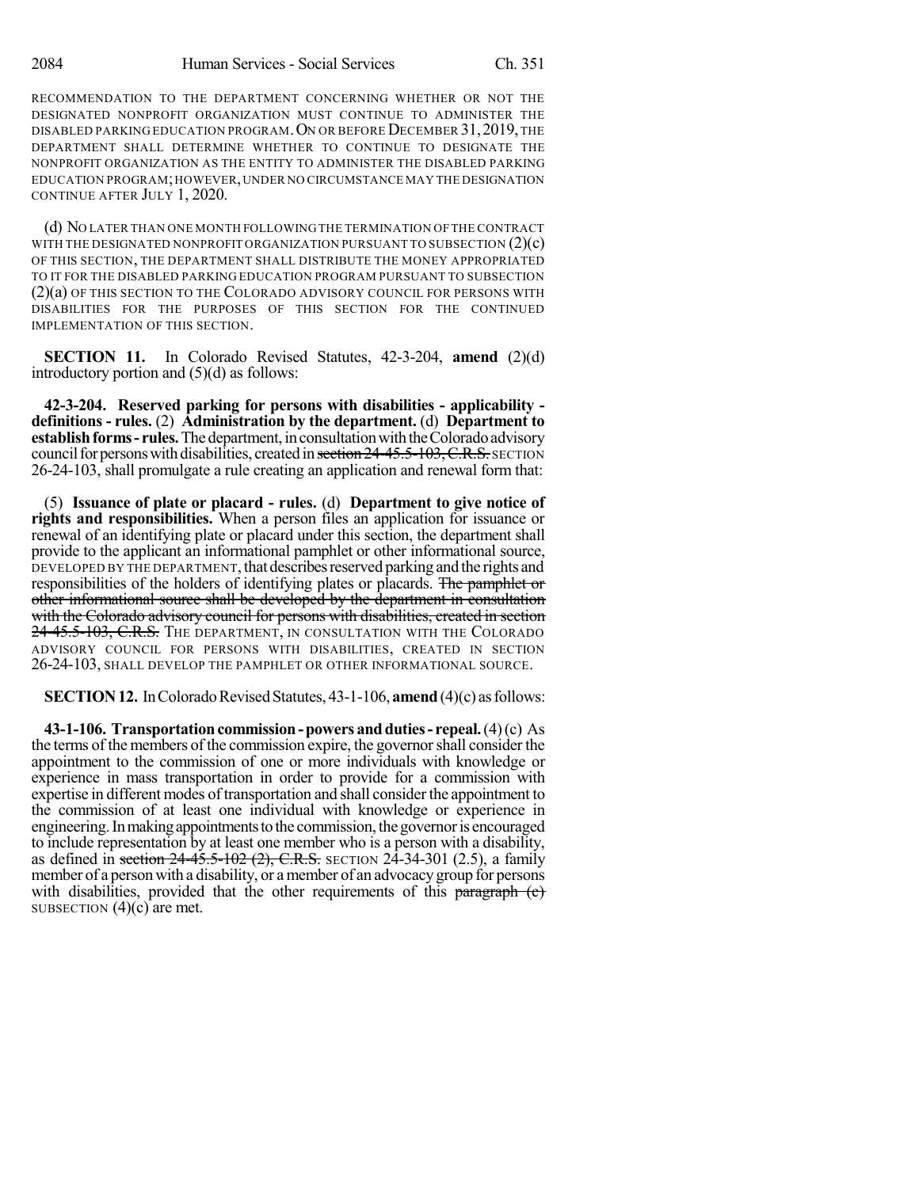RECOMMENDATION TO THE DEPARTMENT CONCERNING WHETHER OR NOT THE DESIGNATED NONPROFIT ORGANIZATION MUST CONTINUE TO ADMINISTER THE DISABLED PARKING EDUCATION PROGRAM.ON OR BEFORE DECEMBER 31,2019,THE DEPARTMENT SHALL DETERMINE WHETHER TO CONTINUE TO DESIGNATE THE NONPROFIT ORGANIZATION AS THE ENTITY TO ADMINISTER THE DISABLED PARKING EDUCATION PROGRAM;HOWEVER,UNDER NO CIRCUMSTANCE MAY THE DESIGNATION CONTINUE AFTER JULY 1, 2020.

(d) NO LATER THAN ONE MONTH FOLLOWINGTHE TERMINATION OFTHE CONTRACT WITH THE DESIGNATED NONPROFIT ORGANIZATION PURSUANT TO SUBSECTION  $(2)(c)$ OF THIS SECTION, THE DEPARTMENT SHALL DISTRIBUTE THE MONEY APPROPRIATED TO IT FOR THE DISABLED PARKING EDUCATION PROGRAM PURSUANT TO SUBSECTION (2)(a) OF THIS SECTION TO THE COLORADO ADVISORY COUNCIL FOR PERSONS WITH DISABILITIES FOR THE PURPOSES OF THIS SECTION FOR THE CONTINUED IMPLEMENTATION OF THIS SECTION.

**SECTION 11.** In Colorado Revised Statutes, 42-3-204, **amend** (2)(d) introductory portion and (5)(d) as follows:

**42-3-204. Reserved parking for persons with disabilities - applicability definitions - rules.** (2) **Administration by the department.** (d) **Department to establish forms - rules.** The department, in consultation with the Colorado advisory council for persons with disabilities, created in section  $24-45.5-103$ , C.R.S. SECTION 26-24-103, shall promulgate a rule creating an application and renewal form that:

(5) **Issuance of plate or placard - rules.** (d) **Department to give notice of rights and responsibilities.** When a person files an application for issuance or renewal of an identifying plate or placard under this section, the department shall provide to the applicant an informational pamphlet or other informational source, DEVELOPED BY THE DEPARTMENT, that describes reserved parking and the rights and responsibilities of the holders of identifying plates or placards. The pamphlet or other informational source shall be developed by the department in consultation with the Colorado advisory council for persons with disabilities, created in section 24-45.5-103, C.R.S. THE DEPARTMENT, IN CONSULTATION WITH THE COLORADO ADVISORY COUNCIL FOR PERSONS WITH DISABILITIES, CREATED IN SECTION 26-24-103, SHALL DEVELOP THE PAMPHLET OR OTHER INFORMATIONAL SOURCE.

**SECTION 12.** In Colorado Revised Statutes, 43-1-106, **amend** (4)(c) as follows:

**43-1-106. Transportationcommission-powers andduties- repeal.**(4)(c) As the terms of the members of the commission expire, the governorshall consider the appointment to the commission of one or more individuals with knowledge or experience in mass transportation in order to provide for a commission with expertise in different modes of transportation and shall consider the appointment to the commission of at least one individual with knowledge or experience in engineering. In making appointments to the commission, the governor is encouraged to include representation by at least one member who is a person with a disability, as defined in section  $24-45.5-102$  (2), C.R.S. SECTION 24-34-301 (2.5), a family member of a person with a disability, or a member of an advocacy group for persons with disabilities, provided that the other requirements of this paragraph  $(c)$ SUBSECTION  $(4)(c)$  are met.